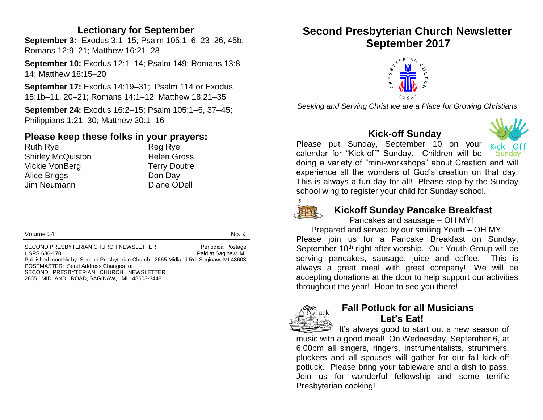#### **Lectionary for September**

**September 3:** Exodus 3:1–15; Psalm 105:1–6, 23–26, 45b: Romans 12:9–21; Matthew 16:21–28

**September 10:** Exodus 12:1–14; Psalm 149; Romans 13:8– 14; Matthew 18:15–20

**September 17:** Exodus 14:19–31; Psalm 114 or Exodus 15:1b–11, 20–21; Romans 14:1–12; Matthew 18:21–35

**September 24:** Exodus 16:2–15; Psalm 105:1–6, 37–45; Philippians 1:21–30; Matthew 20:1–16

## **Please keep these folks in your prayers:**

Ruth Rye **Reg Rye** Reg Rye Shirley McQuiston **Helen Gross** Vickie VonBerg Terry Doutre Alice Briggs Don Day Jim Neumann Diane ODell

Volume 34 No. 9

SECOND PRESBYTERIAN CHURCH NEWSLETTER Periodical Postage USPS 686-170 **Paid at Saginaw, MI** Published monthly by: Second Presbyterian Church 2665 Midland Rd. Saginaw, MI 48603 POSTMASTER: Send Address Changes to: SECOND PRESBYTERIAN CHURCH NEWSLETTER 2665 MIDLAND ROAD, SAGINAW, MI. 48603-3448

# **Second Presbyterian Church Newsletter September 2017**



*Seeking and Serving Christ we are a Place for Growing Christians*

# **Kick-off Sunday**



Please put Sunday, September 10 on your calendar for "Kick-off" Sunday. Children will be Sunday doing a variety of "mini-workshops" about Creation and will experience all the wonders of God's creation on that day. This is always a fun day for all! Please stop by the Sunday school wing to register your child for Sunday school.



#### **Kickoff Sunday Pancake Breakfast**

Pancakes and sausage – OH MY!

Prepared and served by our smiling Youth – OH MY! Please join us for a Pancake Breakfast on Sunday, September 10<sup>th</sup> right after worship. Our Youth Group will be serving pancakes, sausage, juice and coffee. This is always a great meal with great company! We will be accepting donations at the door to help support our activities throughout the year! Hope to see you there!



# **Fall Potluck for all Musicians Let's Eat!**

It's always good to start out a new season of music with a good meal! On Wednesday, September 6, at 6:00pm all singers, ringers, instrumentalists, strummers, pluckers and all spouses will gather for our fall kick-off potluck. Please bring your tableware and a dish to pass. Join us for wonderful fellowship and some terrific Presbyterian cooking!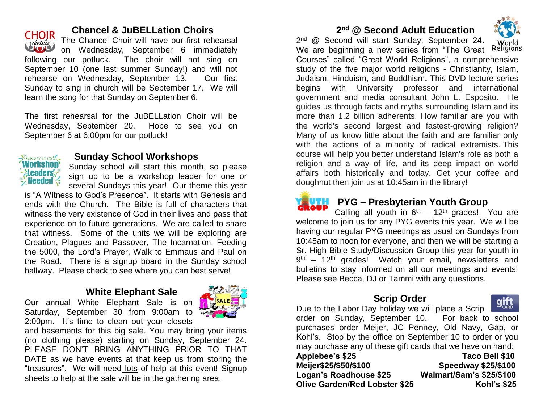

#### **Chancel & JuBELLation Choirs**

The Chancel Choir will have our first rehearsal on Wednesday, September 6 immediately following our potluck. The choir will not sing on September 10 (one last summer Sunday!) and will not rehearse on Wednesday, September 13. Our first Sunday to sing in church will be September 17. We will learn the song for that Sunday on September 6.

The first rehearsal for the JuBELLation Choir will be Wednesday, September 20. Hope to see you on September 6 at 6:00pm for our potluck!



### **Sunday School Workshops**

Sunday school will start this month, so please sign up to be a workshop leader for one or several Sundays this year! Our theme this year

is "A Witness to God's Presence". It starts with Genesis and ends with the Church. The Bible is full of characters that witness the very existence of God in their lives and pass that experience on to future generations. We are called to share that witness. Some of the units we will be exploring are Creation, Plagues and Passover, The Incarnation, Feeding the 5000, the Lord's Prayer, Walk to Emmaus and Paul on the Road. There is a signup board in the Sunday school hallway. Please check to see where you can best serve!

#### **White Elephant Sale**



Our annual White Elephant Sale is on Saturday, September 30 from 9:00am to 2:00pm. It's time to clean out your closets

and basements for this big sale. You may bring your items (no clothing please) starting on Sunday, September 24. PLEASE DON'T BRING ANYTHING PRIOR TO THAT DATE as we have events at that keep us from storing the "treasures". We will need lots of help at this event! Signup sheets to help at the sale will be in the gathering area.

#### **2 nd @ Second Adult Education**



2<sup>nd</sup> @ Second will start Sunday, September 24. Religions We are beginning a new series from "The Great Courses" called "Great World Religions", a comprehensive study of the five major world religions - Christianity, Islam, Judaism, Hinduism, and Buddhism**.** This DVD lecture series begins with University professor and international government and media consultant John L. Esposito. He guides us through facts and myths surrounding Islam and its more than 1.2 billion adherents. How familiar are you with the world's second largest and fastest-growing religion? Many of us know little about the faith and are familiar only with the actions of a minority of radical extremists. This course will help you better understand Islam's role as both a religion and a way of life, and its deep impact on world affairs both historically and today. Get your coffee and doughnut then join us at 10:45am in the library!



#### **PYG** – Presbyterian Youth Group

Calling all youth in  $6<sup>th</sup> - 12<sup>th</sup>$  grades! You are welcome to join us for any PYG events this year. We will be having our regular PYG meetings as usual on Sundays from 10:45am to noon for everyone, and then we will be starting a Sr. High Bible Study/Discussion Group this year for youth in 9<sup>th</sup> – 12<sup>th</sup> grades! Watch your email, newsletters and bulletins to stay informed on all our meetings and events! Please see Becca, DJ or Tammi with any questions.

## **Scrip Order**



Due to the Labor Day holiday we will place a Scrip order on Sunday, September 10. For back to school purchases order Meijer, JC Penney, Old Navy, Gap, or Kohl's. Stop by the office on September 10 to order or you may purchase any of these gift cards that we have on hand: **Applebee's \$25 Taco Bell \$10 Meijer\$25/\$50/\$100 Speedway \$25/\$100 Logan's Roadhouse \$25 Walmart/Sam's \$25/\$100 Olive Garden/Red Lobster \$25 Kohl's \$25**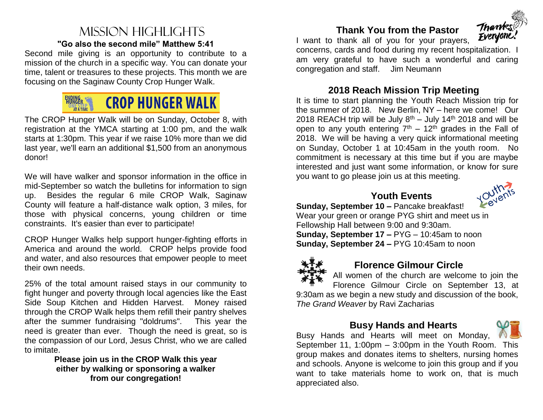#### Mission highlights **"Go also the second mile" Matthew 5:41**

Second mile giving is an opportunity to contribute to a mission of the church in a specific way. You can donate your time, talent or treasures to these projects. This month we are focusing on the Saginaw County Crop Hunger Walk.



The CROP Hunger Walk will be on Sunday, October 8, with registration at the YMCA starting at 1:00 pm, and the walk starts at 1:30pm. This year if we raise 10% more than we did last year, we'll earn an additional \$1,500 from an anonymous donor!

We will have walker and sponsor information in the office in mid-September so watch the bulletins for information to sign up. Besides the regular 6 mile CROP Walk, Saginaw County will feature a half-distance walk option, 3 miles, for those with physical concerns, young children or time constraints. It's easier than ever to participate!

CROP Hunger Walks help support hunger-fighting efforts in America and around the world. CROP helps provide food and water, and also resources that empower people to meet their own needs.

25% of the total amount raised stays in our community to fight hunger and poverty through local agencies like the East Side Soup Kitchen and Hidden Harvest. Money raised through the CROP Walk helps them refill their pantry shelves after the summer fundraising "doldrums". This year the need is greater than ever. Though the need is great, so is the compassion of our Lord, Jesus Christ, who we are called to imitate.

**Please join us in the CROP Walk this year either by walking or sponsoring a walker from our congregation!**

# **Thank You from the Pastor**



I want to thank all of you for your prayers, concerns, cards and food during my recent hospitalization. I am very grateful to have such a wonderful and caring congregation and staff.Jim Neumann

#### **2018 Reach Mission Trip Meeting**

It is time to start planning the Youth Reach Mission trip for the summer of 2018. New Berlin, NY – here we come! Our 2018 REACH trip will be July  $8<sup>th</sup>$  – July 14<sup>th</sup> 2018 and will be open to any youth entering  $7<sup>th</sup> - 12<sup>th</sup>$  grades in the Fall of 2018. We will be having a very quick informational meeting on Sunday, October 1 at 10:45am in the youth room. No commitment is necessary at this time but if you are maybe interested and just want some information, or know for sure you want to go please join us at this meeting.



 **Youth Events**

**Sunday, September 10 –** Pancake breakfast! Wear your green or orange PYG shirt and meet us in Fellowship Hall between 9:00 and 9:30am. **Sunday, September 17 –** PYG – 10:45am to noon

**Sunday, September 24 –** PYG 10:45am to noon



## **Florence Gilmour Circle**

All women of the church are welcome to join the Florence Gilmour Circle on September 13, at

9:30am as we begin a new study and discussion of the book, *The Grand Weaver* by Ravi Zacharias

#### **Busy Hands and Hearts**



Busy Hands and Hearts will meet on Monday, September 11, 1:00pm – 3:00pm in the Youth Room. This group makes and donates items to shelters, nursing homes and schools. Anyone is welcome to join this group and if you want to take materials home to work on, that is much appreciated also.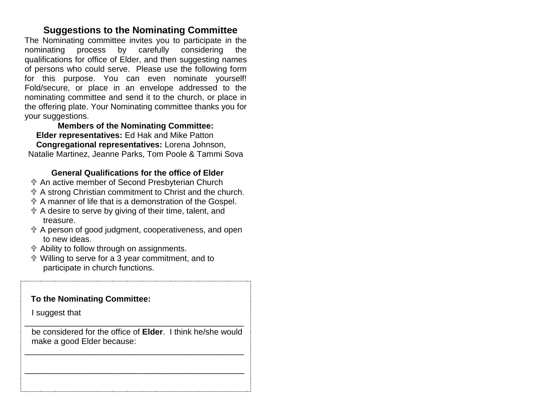#### **Suggestions to the Nominating Committee**

The Nominating committee invites you to participate in the nominating process by carefully considering the qualifications for office of Elder, and then suggesting names of persons who could serve. Please use the following form for this purpose. You can even nominate yourself! Fold/secure, or place in an envelope addressed to the nominating committee and send it to the church, or place in the offering plate. Your Nominating committee thanks you for your suggestions.

**Members of the Nominating Committee: Elder representatives:** Ed Hak and Mike Patton  **Congregational representatives:** Lorena Johnson, Natalie Martinez, Jeanne Parks, Tom Poole & Tammi Sova

#### **General Qualifications for the office of Elder**

- An active member of Second Presbyterian Church
- A strong Christian commitment to Christ and the church.
- A manner of life that is a demonstration of the Gospel.
- A desire to serve by giving of their time, talent, and treasure.
- A person of good judgment, cooperativeness, and open to new ideas.
- Ability to follow through on assignments.
- Willing to serve for a 3 year commitment, and to participate in church functions.

#### **To the Nominating Committee:**

I suggest that

 be considered for the office of **Elder**. I think he/she would make a good Elder because:

\_\_\_\_\_\_\_\_\_\_\_\_\_\_\_\_\_\_\_\_\_\_\_\_\_\_\_\_\_\_\_\_\_\_\_\_\_\_\_\_\_\_\_\_\_\_\_\_

\_\_\_\_\_\_\_\_\_\_\_\_\_\_\_\_\_\_\_\_\_\_\_\_\_\_\_\_\_\_\_\_\_\_\_\_\_\_\_\_\_\_\_\_\_\_\_\_

\_\_\_\_\_\_\_\_\_\_\_\_\_\_\_\_\_\_\_\_\_\_\_\_\_\_\_\_\_\_\_\_\_\_\_\_\_\_\_\_\_\_\_\_\_\_\_\_